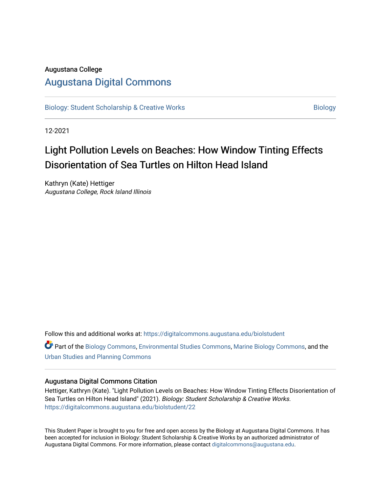# Augustana College

# [Augustana Digital Commons](https://digitalcommons.augustana.edu/)

[Biology: Student Scholarship & Creative Works](https://digitalcommons.augustana.edu/biolstudent) **Biology** Biology

12-2021

# Light Pollution Levels on Beaches: How Window Tinting Effects Disorientation of Sea Turtles on Hilton Head Island

Kathryn (Kate) Hettiger Augustana College, Rock Island Illinois

Follow this and additional works at: [https://digitalcommons.augustana.edu/biolstudent](https://digitalcommons.augustana.edu/biolstudent?utm_source=digitalcommons.augustana.edu%2Fbiolstudent%2F22&utm_medium=PDF&utm_campaign=PDFCoverPages) 

Part of the [Biology Commons,](http://network.bepress.com/hgg/discipline/41?utm_source=digitalcommons.augustana.edu%2Fbiolstudent%2F22&utm_medium=PDF&utm_campaign=PDFCoverPages) [Environmental Studies Commons](http://network.bepress.com/hgg/discipline/1333?utm_source=digitalcommons.augustana.edu%2Fbiolstudent%2F22&utm_medium=PDF&utm_campaign=PDFCoverPages), [Marine Biology Commons](http://network.bepress.com/hgg/discipline/1126?utm_source=digitalcommons.augustana.edu%2Fbiolstudent%2F22&utm_medium=PDF&utm_campaign=PDFCoverPages), and the [Urban Studies and Planning Commons](http://network.bepress.com/hgg/discipline/436?utm_source=digitalcommons.augustana.edu%2Fbiolstudent%2F22&utm_medium=PDF&utm_campaign=PDFCoverPages) 

# Augustana Digital Commons Citation

Hettiger, Kathryn (Kate). "Light Pollution Levels on Beaches: How Window Tinting Effects Disorientation of Sea Turtles on Hilton Head Island" (2021). Biology: Student Scholarship & Creative Works. [https://digitalcommons.augustana.edu/biolstudent/22](https://digitalcommons.augustana.edu/biolstudent/22?utm_source=digitalcommons.augustana.edu%2Fbiolstudent%2F22&utm_medium=PDF&utm_campaign=PDFCoverPages)

This Student Paper is brought to you for free and open access by the Biology at Augustana Digital Commons. It has been accepted for inclusion in Biology: Student Scholarship & Creative Works by an authorized administrator of Augustana Digital Commons. For more information, please contact [digitalcommons@augustana.edu](mailto:digitalcommons@augustana.edu).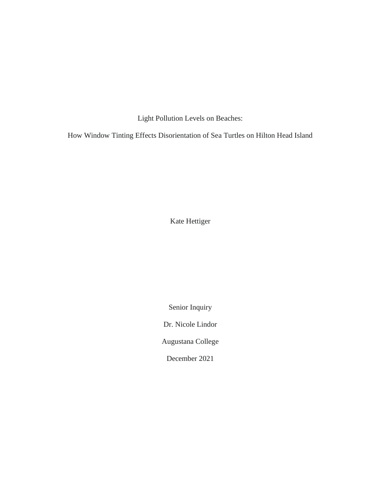Light Pollution Levels on Beaches:

How Window Tinting Effects Disorientation of Sea Turtles on Hilton Head Island

Kate Hettiger

Senior Inquiry

Dr. Nicole Lindor

Augustana College

December 2021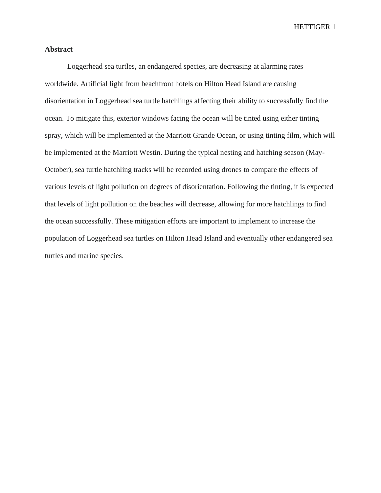# **Abstract**

Loggerhead sea turtles, an endangered species, are decreasing at alarming rates worldwide. Artificial light from beachfront hotels on Hilton Head Island are causing disorientation in Loggerhead sea turtle hatchlings affecting their ability to successfully find the ocean. To mitigate this, exterior windows facing the ocean will be tinted using either tinting spray, which will be implemented at the Marriott Grande Ocean, or using tinting film, which will be implemented at the Marriott Westin. During the typical nesting and hatching season (May-October), sea turtle hatchling tracks will be recorded using drones to compare the effects of various levels of light pollution on degrees of disorientation. Following the tinting, it is expected that levels of light pollution on the beaches will decrease, allowing for more hatchlings to find the ocean successfully. These mitigation efforts are important to implement to increase the population of Loggerhead sea turtles on Hilton Head Island and eventually other endangered sea turtles and marine species.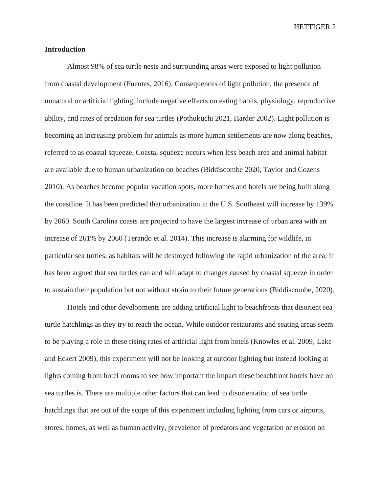# **Introduction**

Almost 98% of sea turtle nests and surrounding areas were exposed to light pollution from coastal development (Fuentes, 2016). Consequences of light pollution, the presence of unnatural or artificial lighting, include negative effects on eating habits, physiology, reproductive ability, and rates of predation for sea turtles (Pothukuchi 2021, Harder 2002). Light pollution is becoming an increasing problem for animals as more human settlements are now along beaches, referred to as coastal squeeze. Coastal squeeze occurs when less beach area and animal habitat are available due to human urbanization on beaches (Biddiscombe 2020, Taylor and Cozens 2010). As beaches become popular vacation spots, more homes and hotels are being built along the coastline. It has been predicted that urbanization in the U.S. Southeast will increase by 139% by 2060. South Carolina coasts are projected to have the largest increase of urban area with an increase of 261% by 2060 (Terando et al. 2014). This increase is alarming for wildlife, in particular sea turtles, as habitats will be destroyed following the rapid urbanization of the area. It has been argued that sea turtles can and will adapt to changes caused by coastal squeeze in order to sustain their population but not without strain to their future generations (Biddiscombe, 2020).

Hotels and other developments are adding artificial light to beachfronts that disorient sea turtle hatchlings as they try to reach the ocean. While outdoor restaurants and seating areas seem to be playing a role in these rising rates of artificial light from hotels (Knowles et al. 2009, Lake and Eckert 2009), this experiment will not be looking at outdoor lighting but instead looking at lights coming from hotel rooms to see how important the impact these beachfront hotels have on sea turtles is. There are multiple other factors that can lead to disorientation of sea turtle hatchlings that are out of the scope of this experiment including lighting from cars or airports, stores, homes, as well as human activity, prevalence of predators and vegetation or erosion on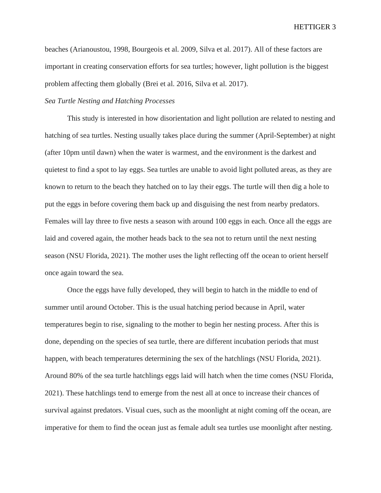beaches (Arianoustou, 1998, Bourgeois et al. 2009, Silva et al. 2017). All of these factors are important in creating conservation efforts for sea turtles; however, light pollution is the biggest problem affecting them globally (Brei et al. 2016, Silva et al. 2017).

# *Sea Turtle Nesting and Hatching Processes*

This study is interested in how disorientation and light pollution are related to nesting and hatching of sea turtles. Nesting usually takes place during the summer (April-September) at night (after 10pm until dawn) when the water is warmest, and the environment is the darkest and quietest to find a spot to lay eggs. Sea turtles are unable to avoid light polluted areas, as they are known to return to the beach they hatched on to lay their eggs. The turtle will then dig a hole to put the eggs in before covering them back up and disguising the nest from nearby predators. Females will lay three to five nests a season with around 100 eggs in each. Once all the eggs are laid and covered again, the mother heads back to the sea not to return until the next nesting season (NSU Florida, 2021). The mother uses the light reflecting off the ocean to orient herself once again toward the sea.

Once the eggs have fully developed, they will begin to hatch in the middle to end of summer until around October. This is the usual hatching period because in April, water temperatures begin to rise, signaling to the mother to begin her nesting process. After this is done, depending on the species of sea turtle, there are different incubation periods that must happen, with beach temperatures determining the sex of the hatchlings (NSU Florida, 2021). Around 80% of the sea turtle hatchlings eggs laid will hatch when the time comes (NSU Florida, 2021). These hatchlings tend to emerge from the nest all at once to increase their chances of survival against predators. Visual cues, such as the moonlight at night coming off the ocean, are imperative for them to find the ocean just as female adult sea turtles use moonlight after nesting.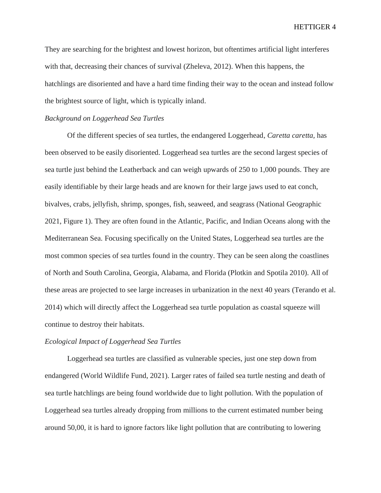They are searching for the brightest and lowest horizon, but oftentimes artificial light interferes with that, decreasing their chances of survival (Zheleva, 2012). When this happens, the hatchlings are disoriented and have a hard time finding their way to the ocean and instead follow the brightest source of light, which is typically inland.

#### *Background on Loggerhead Sea Turtles*

Of the different species of sea turtles, the endangered Loggerhead, *Caretta caretta,* has been observed to be easily disoriented. Loggerhead sea turtles are the second largest species of sea turtle just behind the Leatherback and can weigh upwards of 250 to 1,000 pounds. They are easily identifiable by their large heads and are known for their large jaws used to eat conch, bivalves, crabs, jellyfish, shrimp, sponges, fish, seaweed, and seagrass (National Geographic 2021, Figure 1). They are often found in the Atlantic, Pacific, and Indian Oceans along with the Mediterranean Sea. Focusing specifically on the United States, Loggerhead sea turtles are the most common species of sea turtles found in the country. They can be seen along the coastlines of North and South Carolina, Georgia, Alabama, and Florida (Plotkin and Spotila 2010). All of these areas are projected to see large increases in urbanization in the next 40 years (Terando et al. 2014) which will directly affect the Loggerhead sea turtle population as coastal squeeze will continue to destroy their habitats.

#### *Ecological Impact of Loggerhead Sea Turtles*

Loggerhead sea turtles are classified as vulnerable species, just one step down from endangered (World Wildlife Fund, 2021). Larger rates of failed sea turtle nesting and death of sea turtle hatchlings are being found worldwide due to light pollution. With the population of Loggerhead sea turtles already dropping from millions to the current estimated number being around 50,00, it is hard to ignore factors like light pollution that are contributing to lowering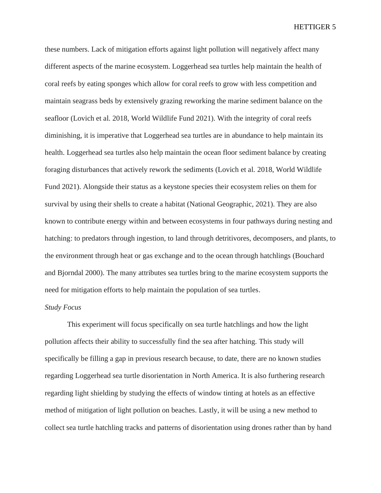these numbers. Lack of mitigation efforts against light pollution will negatively affect many different aspects of the marine ecosystem. Loggerhead sea turtles help maintain the health of coral reefs by eating sponges which allow for coral reefs to grow with less competition and maintain seagrass beds by extensively grazing reworking the marine sediment balance on the seafloor (Lovich et al. 2018, World Wildlife Fund 2021). With the integrity of coral reefs diminishing, it is imperative that Loggerhead sea turtles are in abundance to help maintain its health. Loggerhead sea turtles also help maintain the ocean floor sediment balance by creating foraging disturbances that actively rework the sediments (Lovich et al. 2018, World Wildlife Fund 2021). Alongside their status as a keystone species their ecosystem relies on them for survival by using their shells to create a habitat (National Geographic, 2021). They are also known to contribute energy within and between ecosystems in four pathways during nesting and hatching: to predators through ingestion, to land through detritivores, decomposers, and plants, to the environment through heat or gas exchange and to the ocean through hatchlings (Bouchard and Bjorndal 2000). The many attributes sea turtles bring to the marine ecosystem supports the need for mitigation efforts to help maintain the population of sea turtles.

# *Study Focus*

This experiment will focus specifically on sea turtle hatchlings and how the light pollution affects their ability to successfully find the sea after hatching. This study will specifically be filling a gap in previous research because, to date, there are no known studies regarding Loggerhead sea turtle disorientation in North America. It is also furthering research regarding light shielding by studying the effects of window tinting at hotels as an effective method of mitigation of light pollution on beaches. Lastly, it will be using a new method to collect sea turtle hatchling tracks and patterns of disorientation using drones rather than by hand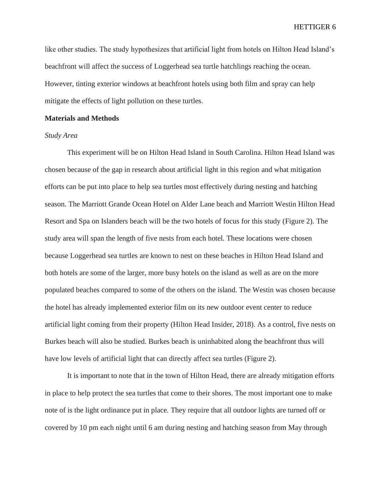like other studies. The study hypothesizes that artificial light from hotels on Hilton Head Island's beachfront will affect the success of Loggerhead sea turtle hatchlings reaching the ocean. However, tinting exterior windows at beachfront hotels using both film and spray can help mitigate the effects of light pollution on these turtles.

#### **Materials and Methods**

### *Study Area*

This experiment will be on Hilton Head Island in South Carolina. Hilton Head Island was chosen because of the gap in research about artificial light in this region and what mitigation efforts can be put into place to help sea turtles most effectively during nesting and hatching season. The Marriott Grande Ocean Hotel on Alder Lane beach and Marriott Westin Hilton Head Resort and Spa on Islanders beach will be the two hotels of focus for this study (Figure 2). The study area will span the length of five nests from each hotel. These locations were chosen because Loggerhead sea turtles are known to nest on these beaches in Hilton Head Island and both hotels are some of the larger, more busy hotels on the island as well as are on the more populated beaches compared to some of the others on the island. The Westin was chosen because the hotel has already implemented exterior film on its new outdoor event center to reduce artificial light coming from their property (Hilton Head Insider, 2018). As a control, five nests on Burkes beach will also be studied. Burkes beach is uninhabited along the beachfront thus will have low levels of artificial light that can directly affect sea turtles (Figure 2).

It is important to note that in the town of Hilton Head, there are already mitigation efforts in place to help protect the sea turtles that come to their shores. The most important one to make note of is the light ordinance put in place. They require that all outdoor lights are turned off or covered by 10 pm each night until 6 am during nesting and hatching season from May through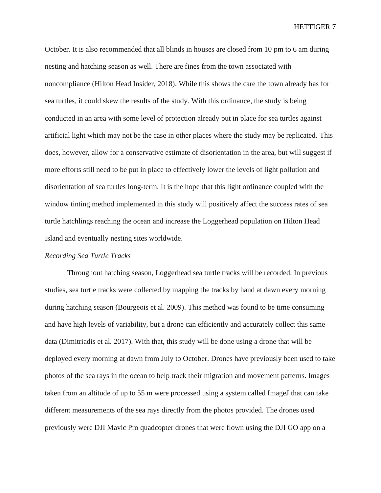October. It is also recommended that all blinds in houses are closed from 10 pm to 6 am during nesting and hatching season as well. There are fines from the town associated with noncompliance (Hilton Head Insider, 2018). While this shows the care the town already has for sea turtles, it could skew the results of the study. With this ordinance, the study is being conducted in an area with some level of protection already put in place for sea turtles against artificial light which may not be the case in other places where the study may be replicated. This does, however, allow for a conservative estimate of disorientation in the area, but will suggest if more efforts still need to be put in place to effectively lower the levels of light pollution and disorientation of sea turtles long-term. It is the hope that this light ordinance coupled with the window tinting method implemented in this study will positively affect the success rates of sea turtle hatchlings reaching the ocean and increase the Loggerhead population on Hilton Head Island and eventually nesting sites worldwide.

#### *Recording Sea Turtle Tracks*

Throughout hatching season, Loggerhead sea turtle tracks will be recorded. In previous studies, sea turtle tracks were collected by mapping the tracks by hand at dawn every morning during hatching season (Bourgeois et al. 2009). This method was found to be time consuming and have high levels of variability, but a drone can efficiently and accurately collect this same data (Dimitriadis et al. 2017). With that, this study will be done using a drone that will be deployed every morning at dawn from July to October. Drones have previously been used to take photos of the sea rays in the ocean to help track their migration and movement patterns. Images taken from an altitude of up to 55 m were processed using a system called ImageJ that can take different measurements of the sea rays directly from the photos provided. The drones used previously were DJI Mavic Pro quadcopter drones that were flown using the DJI GO app on a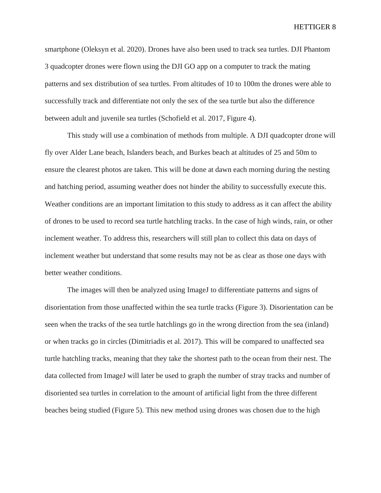smartphone (Oleksyn et al. 2020). Drones have also been used to track sea turtles. DJI Phantom 3 quadcopter drones were flown using the DJI GO app on a computer to track the mating patterns and sex distribution of sea turtles. From altitudes of 10 to 100m the drones were able to successfully track and differentiate not only the sex of the sea turtle but also the difference between adult and juvenile sea turtles (Schofield et al. 2017, Figure 4).

This study will use a combination of methods from multiple. A DJI quadcopter drone will fly over Alder Lane beach, Islanders beach, and Burkes beach at altitudes of 25 and 50m to ensure the clearest photos are taken. This will be done at dawn each morning during the nesting and hatching period, assuming weather does not hinder the ability to successfully execute this. Weather conditions are an important limitation to this study to address as it can affect the ability of drones to be used to record sea turtle hatchling tracks. In the case of high winds, rain, or other inclement weather. To address this, researchers will still plan to collect this data on days of inclement weather but understand that some results may not be as clear as those one days with better weather conditions.

The images will then be analyzed using ImageJ to differentiate patterns and signs of disorientation from those unaffected within the sea turtle tracks (Figure 3). Disorientation can be seen when the tracks of the sea turtle hatchlings go in the wrong direction from the sea (inland) or when tracks go in circles (Dimitriadis et al. 2017). This will be compared to unaffected sea turtle hatchling tracks, meaning that they take the shortest path to the ocean from their nest. The data collected from ImageJ will later be used to graph the number of stray tracks and number of disoriented sea turtles in correlation to the amount of artificial light from the three different beaches being studied (Figure 5). This new method using drones was chosen due to the high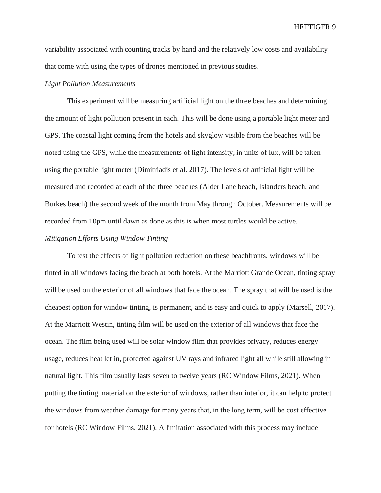variability associated with counting tracks by hand and the relatively low costs and availability that come with using the types of drones mentioned in previous studies.

# *Light Pollution Measurements*

This experiment will be measuring artificial light on the three beaches and determining the amount of light pollution present in each. This will be done using a portable light meter and GPS. The coastal light coming from the hotels and skyglow visible from the beaches will be noted using the GPS, while the measurements of light intensity, in units of lux, will be taken using the portable light meter (Dimitriadis et al. 2017). The levels of artificial light will be measured and recorded at each of the three beaches (Alder Lane beach, Islanders beach, and Burkes beach) the second week of the month from May through October. Measurements will be recorded from 10pm until dawn as done as this is when most turtles would be active.

# *Mitigation Efforts Using Window Tinting*

To test the effects of light pollution reduction on these beachfronts, windows will be tinted in all windows facing the beach at both hotels. At the Marriott Grande Ocean, tinting spray will be used on the exterior of all windows that face the ocean. The spray that will be used is the cheapest option for window tinting, is permanent, and is easy and quick to apply (Marsell, 2017). At the Marriott Westin, tinting film will be used on the exterior of all windows that face the ocean. The film being used will be solar window film that provides privacy, reduces energy usage, reduces heat let in, protected against UV rays and infrared light all while still allowing in natural light. This film usually lasts seven to twelve years (RC Window Films, 2021). When putting the tinting material on the exterior of windows, rather than interior, it can help to protect the windows from weather damage for many years that, in the long term, will be cost effective for hotels (RC Window Films, 2021). A limitation associated with this process may include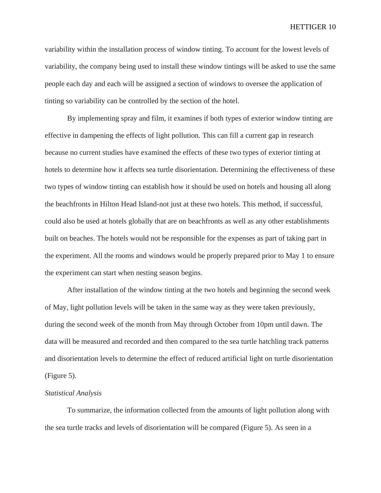variability within the installation process of window tinting. To account for the lowest levels of variability, the company being used to install these window tintings will be asked to use the same people each day and each will be assigned a section of windows to oversee the application of tinting so variability can be controlled by the section of the hotel.

By implementing spray and film, it examines if both types of exterior window tinting are effective in dampening the effects of light pollution. This can fill a current gap in research because no current studies have examined the effects of these two types of exterior tinting at hotels to determine how it affects sea turtle disorientation. Determining the effectiveness of these two types of window tinting can establish how it should be used on hotels and housing all along the beachfronts in Hilton Head Island-not just at these two hotels. This method, if successful, could also be used at hotels globally that are on beachfronts as well as any other establishments built on beaches. The hotels would not be responsible for the expenses as part of taking part in the experiment. All the rooms and windows would be properly prepared prior to May 1 to ensure the experiment can start when nesting season begins.

After installation of the window tinting at the two hotels and beginning the second week of May, light pollution levels will be taken in the same way as they were taken previously, during the second week of the month from May through October from 10pm until dawn. The data will be measured and recorded and then compared to the sea turtle hatchling track patterns and disorientation levels to determine the effect of reduced artificial light on turtle disorientation (Figure 5).

#### *Statistical Analysis*

To summarize, the information collected from the amounts of light pollution along with the sea turtle tracks and levels of disorientation will be compared (Figure 5). As seen in a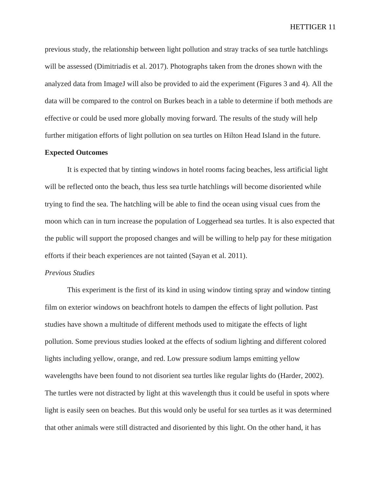previous study, the relationship between light pollution and stray tracks of sea turtle hatchlings will be assessed (Dimitriadis et al. 2017). Photographs taken from the drones shown with the analyzed data from ImageJ will also be provided to aid the experiment (Figures 3 and 4). All the data will be compared to the control on Burkes beach in a table to determine if both methods are effective or could be used more globally moving forward. The results of the study will help further mitigation efforts of light pollution on sea turtles on Hilton Head Island in the future.

# **Expected Outcomes**

It is expected that by tinting windows in hotel rooms facing beaches, less artificial light will be reflected onto the beach, thus less sea turtle hatchlings will become disoriented while trying to find the sea. The hatchling will be able to find the ocean using visual cues from the moon which can in turn increase the population of Loggerhead sea turtles. It is also expected that the public will support the proposed changes and will be willing to help pay for these mitigation efforts if their beach experiences are not tainted (Sayan et al. 2011).

#### *Previous Studies*

This experiment is the first of its kind in using window tinting spray and window tinting film on exterior windows on beachfront hotels to dampen the effects of light pollution. Past studies have shown a multitude of different methods used to mitigate the effects of light pollution. Some previous studies looked at the effects of sodium lighting and different colored lights including yellow, orange, and red. Low pressure sodium lamps emitting yellow wavelengths have been found to not disorient sea turtles like regular lights do (Harder, 2002). The turtles were not distracted by light at this wavelength thus it could be useful in spots where light is easily seen on beaches. But this would only be useful for sea turtles as it was determined that other animals were still distracted and disoriented by this light. On the other hand, it has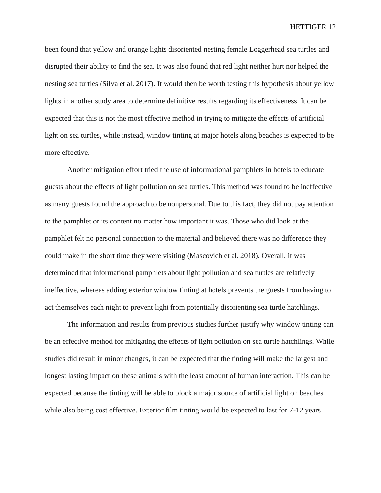been found that yellow and orange lights disoriented nesting female Loggerhead sea turtles and disrupted their ability to find the sea. It was also found that red light neither hurt nor helped the nesting sea turtles (Silva et al. 2017). It would then be worth testing this hypothesis about yellow lights in another study area to determine definitive results regarding its effectiveness. It can be expected that this is not the most effective method in trying to mitigate the effects of artificial light on sea turtles, while instead, window tinting at major hotels along beaches is expected to be more effective.

Another mitigation effort tried the use of informational pamphlets in hotels to educate guests about the effects of light pollution on sea turtles. This method was found to be ineffective as many guests found the approach to be nonpersonal. Due to this fact, they did not pay attention to the pamphlet or its content no matter how important it was. Those who did look at the pamphlet felt no personal connection to the material and believed there was no difference they could make in the short time they were visiting (Mascovich et al. 2018). Overall, it was determined that informational pamphlets about light pollution and sea turtles are relatively ineffective, whereas adding exterior window tinting at hotels prevents the guests from having to act themselves each night to prevent light from potentially disorienting sea turtle hatchlings.

The information and results from previous studies further justify why window tinting can be an effective method for mitigating the effects of light pollution on sea turtle hatchlings. While studies did result in minor changes, it can be expected that the tinting will make the largest and longest lasting impact on these animals with the least amount of human interaction. This can be expected because the tinting will be able to block a major source of artificial light on beaches while also being cost effective. Exterior film tinting would be expected to last for 7-12 years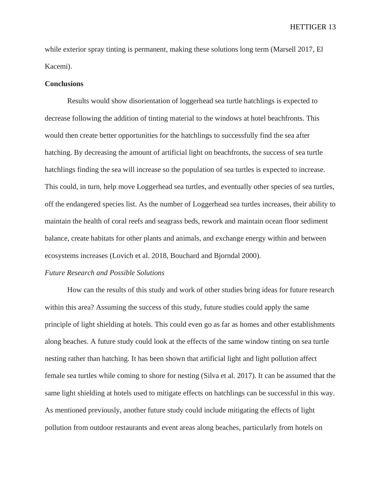while exterior spray tinting is permanent, making these solutions long term (Marsell 2017, El Kacemi).

#### **Conclusions**

Results would show disorientation of loggerhead sea turtle hatchlings is expected to decrease following the addition of tinting material to the windows at hotel beachfronts. This would then create better opportunities for the hatchlings to successfully find the sea after hatching. By decreasing the amount of artificial light on beachfronts, the success of sea turtle hatchlings finding the sea will increase so the population of sea turtles is expected to increase. This could, in turn, help move Loggerhead sea turtles, and eventually other species of sea turtles, off the endangered species list. As the number of Loggerhead sea turtles increases, their ability to maintain the health of coral reefs and seagrass beds, rework and maintain ocean floor sediment balance, create habitats for other plants and animals, and exchange energy within and between ecosystems increases (Lovich et al. 2018, Bouchard and Bjorndal 2000).

# *Future Research and Possible Solutions*

How can the results of this study and work of other studies bring ideas for future research within this area? Assuming the success of this study, future studies could apply the same principle of light shielding at hotels. This could even go as far as homes and other establishments along beaches. A future study could look at the effects of the same window tinting on sea turtle nesting rather than hatching. It has been shown that artificial light and light pollution affect female sea turtles while coming to shore for nesting (Silva et al. 2017). It can be assumed that the same light shielding at hotels used to mitigate effects on hatchlings can be successful in this way. As mentioned previously, another future study could include mitigating the effects of light pollution from outdoor restaurants and event areas along beaches, particularly from hotels on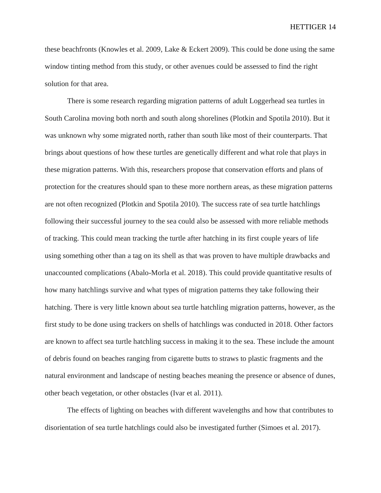these beachfronts (Knowles et al. 2009, Lake & Eckert 2009). This could be done using the same window tinting method from this study, or other avenues could be assessed to find the right solution for that area.

There is some research regarding migration patterns of adult Loggerhead sea turtles in South Carolina moving both north and south along shorelines (Plotkin and Spotila 2010). But it was unknown why some migrated north, rather than south like most of their counterparts. That brings about questions of how these turtles are genetically different and what role that plays in these migration patterns. With this, researchers propose that conservation efforts and plans of protection for the creatures should span to these more northern areas, as these migration patterns are not often recognized (Plotkin and Spotila 2010). The success rate of sea turtle hatchlings following their successful journey to the sea could also be assessed with more reliable methods of tracking. This could mean tracking the turtle after hatching in its first couple years of life using something other than a tag on its shell as that was proven to have multiple drawbacks and unaccounted complications (Abalo-Morla et al. 2018). This could provide quantitative results of how many hatchlings survive and what types of migration patterns they take following their hatching. There is very little known about sea turtle hatchling migration patterns, however, as the first study to be done using trackers on shells of hatchlings was conducted in 2018. Other factors are known to affect sea turtle hatchling success in making it to the sea. These include the amount of debris found on beaches ranging from cigarette butts to straws to plastic fragments and the natural environment and landscape of nesting beaches meaning the presence or absence of dunes, other beach vegetation, or other obstacles (Ivar et al. 2011).

The effects of lighting on beaches with different wavelengths and how that contributes to disorientation of sea turtle hatchlings could also be investigated further (Simoes et al. 2017).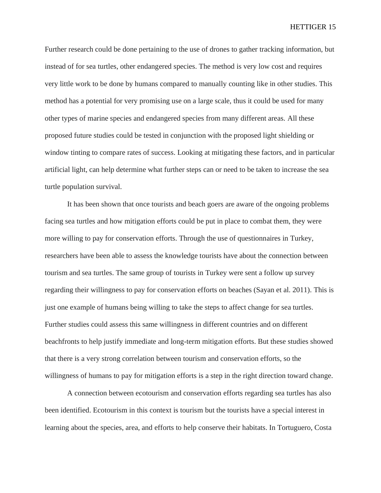Further research could be done pertaining to the use of drones to gather tracking information, but instead of for sea turtles, other endangered species. The method is very low cost and requires very little work to be done by humans compared to manually counting like in other studies. This method has a potential for very promising use on a large scale, thus it could be used for many other types of marine species and endangered species from many different areas. All these proposed future studies could be tested in conjunction with the proposed light shielding or window tinting to compare rates of success. Looking at mitigating these factors, and in particular artificial light, can help determine what further steps can or need to be taken to increase the sea turtle population survival.

It has been shown that once tourists and beach goers are aware of the ongoing problems facing sea turtles and how mitigation efforts could be put in place to combat them, they were more willing to pay for conservation efforts. Through the use of questionnaires in Turkey, researchers have been able to assess the knowledge tourists have about the connection between tourism and sea turtles. The same group of tourists in Turkey were sent a follow up survey regarding their willingness to pay for conservation efforts on beaches (Sayan et al. 2011). This is just one example of humans being willing to take the steps to affect change for sea turtles. Further studies could assess this same willingness in different countries and on different beachfronts to help justify immediate and long-term mitigation efforts. But these studies showed that there is a very strong correlation between tourism and conservation efforts, so the willingness of humans to pay for mitigation efforts is a step in the right direction toward change.

A connection between ecotourism and conservation efforts regarding sea turtles has also been identified. Ecotourism in this context is tourism but the tourists have a special interest in learning about the species, area, and efforts to help conserve their habitats. In Tortuguero, Costa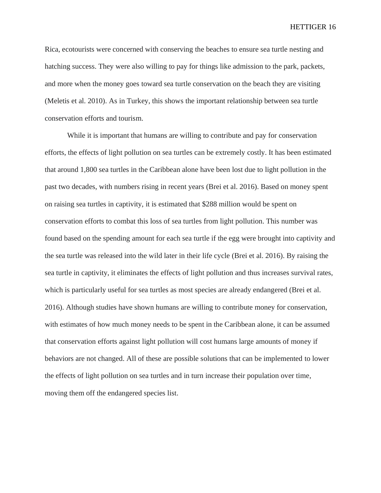Rica, ecotourists were concerned with conserving the beaches to ensure sea turtle nesting and hatching success. They were also willing to pay for things like admission to the park, packets, and more when the money goes toward sea turtle conservation on the beach they are visiting (Meletis et al. 2010). As in Turkey, this shows the important relationship between sea turtle conservation efforts and tourism.

While it is important that humans are willing to contribute and pay for conservation efforts, the effects of light pollution on sea turtles can be extremely costly. It has been estimated that around 1,800 sea turtles in the Caribbean alone have been lost due to light pollution in the past two decades, with numbers rising in recent years (Brei et al. 2016). Based on money spent on raising sea turtles in captivity, it is estimated that \$288 million would be spent on conservation efforts to combat this loss of sea turtles from light pollution. This number was found based on the spending amount for each sea turtle if the egg were brought into captivity and the sea turtle was released into the wild later in their life cycle (Brei et al. 2016). By raising the sea turtle in captivity, it eliminates the effects of light pollution and thus increases survival rates, which is particularly useful for sea turtles as most species are already endangered (Brei et al. 2016). Although studies have shown humans are willing to contribute money for conservation, with estimates of how much money needs to be spent in the Caribbean alone, it can be assumed that conservation efforts against light pollution will cost humans large amounts of money if behaviors are not changed. All of these are possible solutions that can be implemented to lower the effects of light pollution on sea turtles and in turn increase their population over time, moving them off the endangered species list.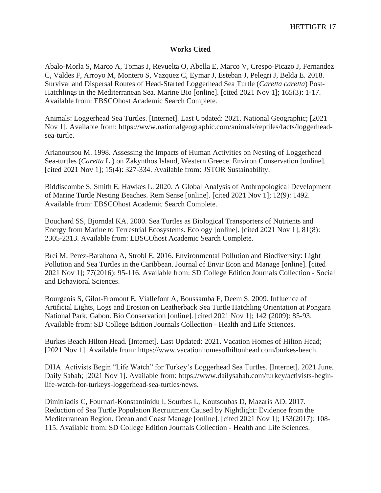# **Works Cited**

Abalo-Morla S, Marco A, Tomas J, Revuelta O, Abella E, Marco V, Crespo-Picazo J, Fernandez C, Valdes F, Arroyo M, Montero S, Vazquez C, Eymar J, Esteban J, Pelegri J, Belda E. 2018. Survival and Dispersal Routes of Head-Started Loggerhead Sea Turtle (*Caretta caretta*) Post-Hatchlings in the Mediterranean Sea. Marine Bio [online]. [cited 2021 Nov 1]; 165(3): 1-17. Available from: EBSCOhost Academic Search Complete.

Animals: Loggerhead Sea Turtles. [Internet]. Last Updated: 2021. National Geographic; [2021 Nov 1]. Available from: https://www.nationalgeographic.com/animals/reptiles/facts/loggerheadsea-turtle.

Arianoutsou M. 1998. Assessing the Impacts of Human Activities on Nesting of Loggerhead Sea-turtles (*Caretta* L.) on Zakynthos Island, Western Greece. Environ Conservation [online]. [cited 2021 Nov 1]; 15(4): 327-334. Available from: JSTOR Sustainability.

Biddiscombe S, Smith E, Hawkes L. 2020. A Global Analysis of Anthropological Development of Marine Turtle Nesting Beaches. Rem Sense [online]. [cited 2021 Nov 1]; 12(9): 1492. Available from: EBSCOhost Academic Search Complete.

Bouchard SS, Bjorndal KA. 2000. Sea Turtles as Biological Transporters of Nutrients and Energy from Marine to Terrestrial Ecosystems. Ecology [online]. [cited 2021 Nov 1]; 81(8): 2305-2313. Available from: EBSCOhost Academic Search Complete.

Brei M, Perez-Barahona A, Strobl E. 2016. Environmental Pollution and Biodiversity: Light Pollution and Sea Turtles in the Caribbean. Journal of Envir Econ and Manage [online]. [cited 2021 Nov 1]; 77(2016): 95-116. Available from: SD College Edition Journals Collection - Social and Behavioral Sciences.

Bourgeois S, Gilot-Fromont E, Viallefont A, Boussamba F, Deem S. 2009. Influence of Artificial Lights, Logs and Erosion on Leatherback Sea Turtle Hatchling Orientation at Pongara National Park, Gabon. Bio Conservation [online]. [cited 2021 Nov 1]; 142 (2009): 85-93. Available from: SD College Edition Journals Collection - Health and Life Sciences.

Burkes Beach Hilton Head. [Internet]. Last Updated: 2021. Vacation Homes of Hilton Head; [2021 Nov 1]. Available from: https://www.vacationhomesofhiltonhead.com/burkes-beach.

DHA. Activists Begin "Life Watch" for Turkey's Loggerhead Sea Turtles. [Internet]. 2021 June. Daily Sabah; [2021 Nov 1]. Available from: https://www.dailysabah.com/turkey/activists-beginlife-watch-for-turkeys-loggerhead-sea-turtles/news.

Dimitriadis C, Fournari-Konstantinidu I, Sourbes L, Koutsoubas D, Mazaris AD. 2017. Reduction of Sea Turtle Population Recruitment Caused by Nightlight: Evidence from the Mediterranean Region. Ocean and Coast Manage [online]. [cited 2021 Nov 1]; 153(2017): 108- 115. Available from: SD College Edition Journals Collection - Health and Life Sciences.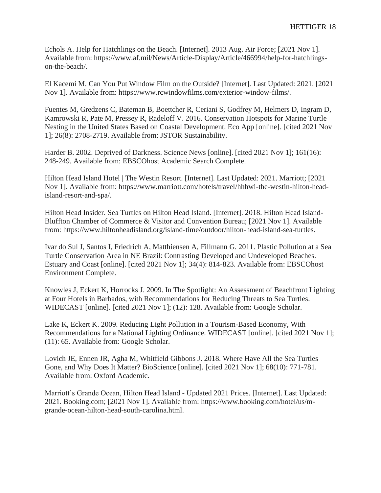Echols A. Help for Hatchlings on the Beach. [Internet]. 2013 Aug. Air Force; [2021 Nov 1]. Available from: https://www.af.mil/News/Article-Display/Article/466994/help-for-hatchlingson-the-beach/.

El Kacemi M. Can You Put Window Film on the Outside? [Internet]. Last Updated: 2021. [2021 Nov 1]. Available from: https://www.rcwindowfilms.com/exterior-window-films/.

Fuentes M, Gredzens C, Bateman B, Boettcher R, Ceriani S, Godfrey M, Helmers D, Ingram D, Kamrowski R, Pate M, Pressey R, Radeloff V. 2016. Conservation Hotspots for Marine Turtle Nesting in the United States Based on Coastal Development. Eco App [online]. [cited 2021 Nov 1]; 26(8): 2708-2719. Available from: JSTOR Sustainability.

Harder B. 2002. Deprived of Darkness. Science News [online]. [cited 2021 Nov 1]; 161(16): 248-249. Available from: EBSCOhost Academic Search Complete.

Hilton Head Island Hotel | The Westin Resort. [Internet]. Last Updated: 2021. Marriott; [2021 Nov 1]. Available from: https://www.marriott.com/hotels/travel/hhhwi-the-westin-hilton-headisland-resort-and-spa/.

Hilton Head Insider. Sea Turtles on Hilton Head Island. [Internet]. 2018. Hilton Head Island-Bluffton Chamber of Commerce & Visitor and Convention Bureau; [2021 Nov 1]. Available from: https://www.hiltonheadisland.org/island-time/outdoor/hilton-head-island-sea-turtles.

Ivar do Sul J, Santos I, Friedrich A, Matthiensen A, Fillmann G. 2011. Plastic Pollution at a Sea Turtle Conservation Area in NE Brazil: Contrasting Developed and Undeveloped Beaches. Estuary and Coast [online]. [cited 2021 Nov 1]; 34(4): 814-823. Available from: EBSCOhost Environment Complete.

Knowles J, Eckert K, Horrocks J. 2009. In The Spotlight: An Assessment of Beachfront Lighting at Four Hotels in Barbados, with Recommendations for Reducing Threats to Sea Turtles. WIDECAST [online]. [cited 2021 Nov 1]; (12): 128. Available from: Google Scholar.

Lake K, Eckert K. 2009. Reducing Light Pollution in a Tourism-Based Economy, With Recommendations for a National Lighting Ordinance. WIDECAST [online]. [cited 2021 Nov 1]; (11): 65. Available from: Google Scholar.

Lovich JE, Ennen JR, Agha M, Whitfield Gibbons J. 2018. Where Have All the Sea Turtles Gone, and Why Does It Matter? BioScience [online]. [cited 2021 Nov 1]; 68(10): 771-781. Available from: Oxford Academic.

Marriott's Grande Ocean, Hilton Head Island - Updated 2021 Prices. [Internet]. Last Updated: 2021. Booking.com; [2021 Nov 1]. Available from: https://www.booking.com/hotel/us/mgrande-ocean-hilton-head-south-carolina.html.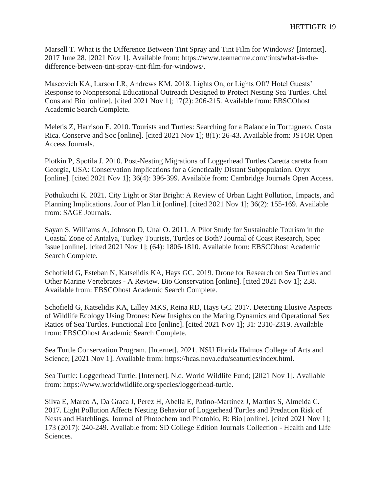Marsell T. What is the Difference Between Tint Spray and Tint Film for Windows? [Internet]. 2017 June 28. [2021 Nov 1]. Available from: https://www.teamacme.com/tints/what-is-thedifference-between-tint-spray-tint-film-for-windows/.

Mascovich KA, Larson LR, Andrews KM. 2018. Lights On, or Lights Off? Hotel Guests' Response to Nonpersonal Educational Outreach Designed to Protect Nesting Sea Turtles. Chel Cons and Bio [online]. [cited 2021 Nov 1]; 17(2): 206-215. Available from: EBSCOhost Academic Search Complete.

Meletis Z, Harrison E. 2010. Tourists and Turtles: Searching for a Balance in Tortuguero, Costa Rica. Conserve and Soc [online]. [cited 2021 Nov 1]; 8(1): 26-43. Available from: JSTOR Open Access Journals.

Plotkin P, Spotila J. 2010. Post-Nesting Migrations of Loggerhead Turtles Caretta caretta from Georgia, USA: Conservation Implications for a Genetically Distant Subpopulation. Oryx [online]. [cited 2021 Nov 1]; 36(4): 396-399. Available from: Cambridge Journals Open Access.

Pothukuchi K. 2021. City Light or Star Bright: A Review of Urban Light Pollution, Impacts, and Planning Implications. Jour of Plan Lit [online]. [cited 2021 Nov 1]; 36(2): 155-169. Available from: SAGE Journals.

Sayan S, Williams A, Johnson D, Unal O. 2011. A Pilot Study for Sustainable Tourism in the Coastal Zone of Antalya, Turkey Tourists, Turtles or Both? Journal of Coast Research, Spec Issue [online]. [cited 2021 Nov 1]; (64): 1806-1810. Available from: EBSCOhost Academic Search Complete.

Schofield G, Esteban N, Katselidis KA, Hays GC. 2019. Drone for Research on Sea Turtles and Other Marine Vertebrates - A Review. Bio Conservation [online]. [cited 2021 Nov 1]; 238. Available from: EBSCOhost Academic Search Complete.

Schofield G, Katselidis KA, Lilley MKS, Reina RD, Hays GC. 2017. Detecting Elusive Aspects of Wildlife Ecology Using Drones: New Insights on the Mating Dynamics and Operational Sex Ratios of Sea Turtles. Functional Eco [online]. [cited 2021 Nov 1]; 31: 2310-2319. Available from: EBSCOhost Academic Search Complete.

Sea Turtle Conservation Program. [Internet]. 2021. NSU Florida Halmos College of Arts and Science; [2021 Nov 1]. Available from: https://hcas.nova.edu/seaturtles/index.html.

Sea Turtle: Loggerhead Turtle. [Internet]. N.d. World Wildlife Fund; [2021 Nov 1]. Available from: https://www.worldwildlife.org/species/loggerhead-turtle.

Silva E, Marco A, Da Graca J, Perez H, Abella E, Patino-Martinez J, Martins S, Almeida C. 2017. Light Pollution Affects Nesting Behavior of Loggerhead Turtles and Predation Risk of Nests and Hatchlings. Journal of Photochem and Photobio, B: Bio [online]. [cited 2021 Nov 1]; 173 (2017): 240-249. Available from: SD College Edition Journals Collection - Health and Life Sciences.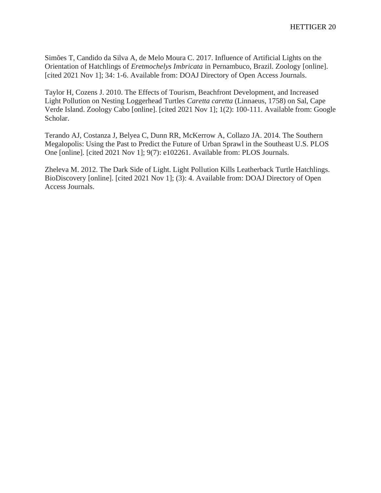Simões T, Candido da Silva A, de Melo Moura C. 2017. Influence of Artificial Lights on the Orientation of Hatchlings of *Eretmochelys Imbricata* in Pernambuco, Brazil. Zoology [online]. [cited 2021 Nov 1]; 34: 1-6. Available from: DOAJ Directory of Open Access Journals.

Taylor H, Cozens J. 2010. The Effects of Tourism, Beachfront Development, and Increased Light Pollution on Nesting Loggerhead Turtles *Caretta caretta* (Linnaeus, 1758) on Sal, Cape Verde Island. Zoology Cabo [online]. [cited 2021 Nov 1]; 1(2): 100-111. Available from: Google Scholar.

Terando AJ, Costanza J, Belyea C, Dunn RR, McKerrow A, Collazo JA. 2014. The Southern Megalopolis: Using the Past to Predict the Future of Urban Sprawl in the Southeast U.S. PLOS One [online]. [cited 2021 Nov 1]; 9(7): e102261. Available from: PLOS Journals.

Zheleva M. 2012. The Dark Side of Light. Light Pollution Kills Leatherback Turtle Hatchlings. BioDiscovery [online]. [cited 2021 Nov 1]; (3): 4. Available from: DOAJ Directory of Open Access Journals.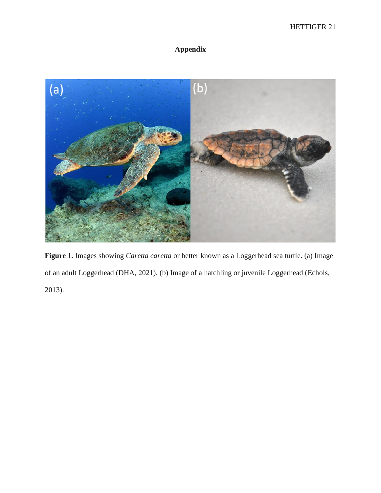# **Appendix**



**Figure 1.** Images showing *Caretta caretta* or better known as a Loggerhead sea turtle. (a) Image of an adult Loggerhead (DHA, 2021). (b) Image of a hatchling or juvenile Loggerhead (Echols, 2013).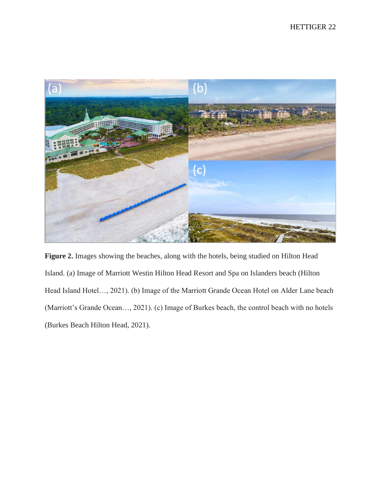

**Figure 2.** Images showing the beaches, along with the hotels, being studied on Hilton Head Island. (a) Image of Marriott Westin Hilton Head Resort and Spa on Islanders beach (Hilton Head Island Hotel…, 2021). (b) Image of the Marriott Grande Ocean Hotel on Alder Lane beach (Marriott's Grande Ocean…, 2021). (c) Image of Burkes beach, the control beach with no hotels (Burkes Beach Hilton Head, 2021).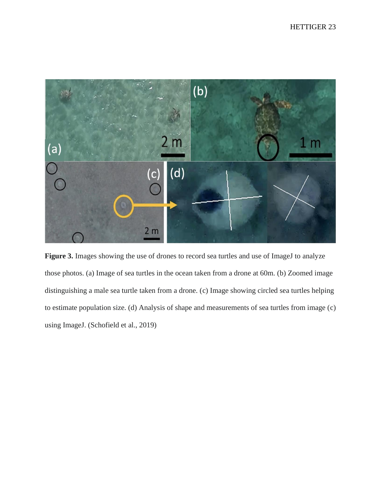

Figure 3. Images showing the use of drones to record sea turtles and use of ImageJ to analyze those photos. (a) Image of sea turtles in the ocean taken from a drone at 60m. (b) Zoomed image distinguishing a male sea turtle taken from a drone. (c) Image showing circled sea turtles helping to estimate population size. (d) Analysis of shape and measurements of sea turtles from image (c) using ImageJ. (Schofield et al., 2019)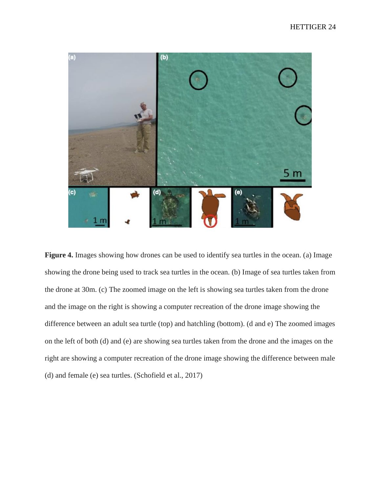

**Figure 4.** Images showing how drones can be used to identify sea turtles in the ocean. (a) Image showing the drone being used to track sea turtles in the ocean. (b) Image of sea turtles taken from the drone at 30m. (c) The zoomed image on the left is showing sea turtles taken from the drone and the image on the right is showing a computer recreation of the drone image showing the difference between an adult sea turtle (top) and hatchling (bottom). (d and e) The zoomed images on the left of both (d) and (e) are showing sea turtles taken from the drone and the images on the right are showing a computer recreation of the drone image showing the difference between male (d) and female (e) sea turtles. (Schofield et al., 2017)